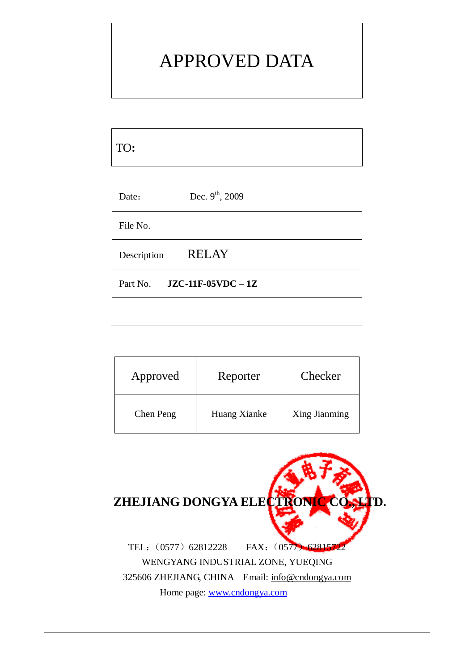# APPROVED DATA

| TO:         |                             |
|-------------|-----------------------------|
| Date:       | Dec. $9^{th}$ , 2009        |
| File No.    |                             |
| Description | <b>RELAY</b>                |
|             | Part No. $JZC-11F-05VDC-1Z$ |

| Approved  | Reporter     | Checker       |
|-----------|--------------|---------------|
| Chen Peng | Huang Xianke | Xing Jianming |

| ZHEJIANG DONGYA ELECTRONIC CO. LTD.             |                      |
|-------------------------------------------------|----------------------|
| TEL: (0577) 62812228                            | FAX: (0577) 62815722 |
| WENGYANG INDUSTRIAL ZONE, YUEQING               |                      |
| 325606 ZHEJIANG, CHINA Email: info@cndongya.com |                      |
| Home page: www.cndongya.com                     |                      |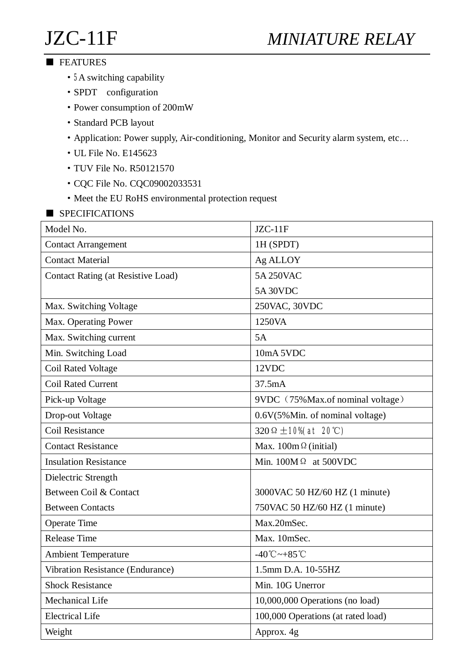# JZC-11F *MINIATURE RELAY*

#### ■ FEATURES

- **5**A switching capability
- ·SPDT configuration
- ·Power consumption of 200mW
- ·Standard PCB layout
- ·Application: Power supply, Air-conditioning, Monitor and Security alarm system, etc…
- ·UL File No. E145623
- ·TUV File No. R50121570
- ·CQC File No. CQC09002033531
- Meet the EU RoHS environmental protection request
- SPECIFICATIONS

| Model No.                                 | $JZC-11F$                          |  |  |
|-------------------------------------------|------------------------------------|--|--|
| <b>Contact Arrangement</b>                | 1H (SPDT)                          |  |  |
| <b>Contact Material</b>                   | Ag ALLOY                           |  |  |
| <b>Contact Rating (at Resistive Load)</b> | 5A 250VAC                          |  |  |
|                                           | <b>5A 30VDC</b>                    |  |  |
| Max. Switching Voltage                    | 250VAC, 30VDC                      |  |  |
| Max. Operating Power                      | 1250VA                             |  |  |
| Max. Switching current                    | 5A                                 |  |  |
| Min. Switching Load                       | 10mA 5VDC                          |  |  |
| Coil Rated Voltage                        | 12VDC                              |  |  |
| <b>Coil Rated Current</b>                 | 37.5mA                             |  |  |
| Pick-up Voltage                           | 9VDC (75% Max.of nominal voltage)  |  |  |
| Drop-out Voltage                          | 0.6V(5% Min. of nominal voltage)   |  |  |
| <b>Coil Resistance</b>                    | 320 $\Omega \pm 10\%$ (at 20°C)    |  |  |
| <b>Contact Resistance</b>                 | Max. $100m \Omega$ (initial)       |  |  |
| <b>Insulation Resistance</b>              | Min. $100M\Omega$ at 500VDC        |  |  |
| Dielectric Strength                       |                                    |  |  |
| Between Coil & Contact                    | 3000VAC 50 HZ/60 HZ (1 minute)     |  |  |
| <b>Between Contacts</b>                   | 750VAC 50 HZ/60 HZ (1 minute)      |  |  |
| <b>Operate Time</b>                       | Max.20mSec.                        |  |  |
| <b>Release Time</b>                       | Max. 10mSec.                       |  |  |
| <b>Ambient Temperature</b>                | $-40^{\circ}$ C ~ $+85^{\circ}$ C  |  |  |
| Vibration Resistance (Endurance)          | 1.5mm D.A. 10-55HZ                 |  |  |
| <b>Shock Resistance</b>                   | Min. 10G Unerror                   |  |  |
| Mechanical Life                           | 10,000,000 Operations (no load)    |  |  |
| <b>Electrical Life</b>                    | 100,000 Operations (at rated load) |  |  |
| Weight                                    | Approx. 4g                         |  |  |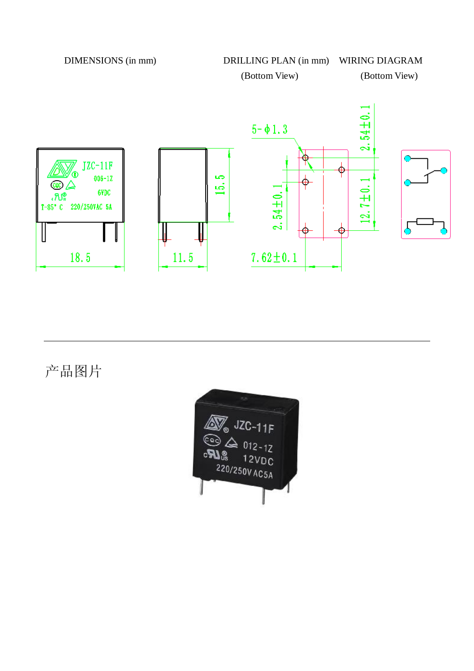DIMENSIONS (in mm) DRILLING PLAN (in mm) WIRING DIAGRAM (Bottom View) (Bottom View)



产品图片